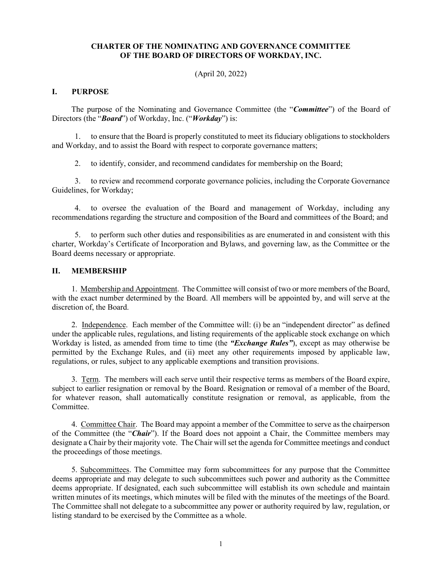#### **CHARTER OF THE NOMINATING AND GOVERNANCE COMMITTEE OF THE BOARD OF DIRECTORS OF WORKDAY, INC.**

(April 20, 2022)

#### **I. PURPOSE**

The purpose of the Nominating and Governance Committee (the "*Committee*") of the Board of Directors (the "*Board*") of Workday, Inc. ("*Workday*") is:

1. to ensure that the Board is properly constituted to meet its fiduciary obligations to stockholders and Workday, and to assist the Board with respect to corporate governance matters;

2. to identify, consider, and recommend candidates for membership on the Board;

3. to review and recommend corporate governance policies, including the Corporate Governance Guidelines, for Workday;

4. to oversee the evaluation of the Board and management of Workday, including any recommendations regarding the structure and composition of the Board and committees of the Board; and

5. to perform such other duties and responsibilities as are enumerated in and consistent with this charter, Workday's Certificate of Incorporation and Bylaws, and governing law, as the Committee or the Board deems necessary or appropriate.

#### **II. MEMBERSHIP**

1. Membership and Appointment. The Committee will consist of two or more members of the Board, with the exact number determined by the Board. All members will be appointed by, and will serve at the discretion of, the Board.

2. Independence. Each member of the Committee will: (i) be an "independent director" as defined under the applicable rules, regulations, and listing requirements of the applicable stock exchange on which Workday is listed, as amended from time to time (the *"Exchange Rules"*), except as may otherwise be permitted by the Exchange Rules, and (ii) meet any other requirements imposed by applicable law, regulations, or rules, subject to any applicable exemptions and transition provisions.

3. Term. The members will each serve until their respective terms as members of the Board expire, subject to earlier resignation or removal by the Board. Resignation or removal of a member of the Board, for whatever reason, shall automatically constitute resignation or removal, as applicable, from the Committee.

4. Committee Chair. The Board may appoint a member of the Committee to serve as the chairperson of the Committee (the "*Chair*"). If the Board does not appoint a Chair, the Committee members may designate a Chair by their majority vote. The Chair will set the agenda for Committee meetings and conduct the proceedings of those meetings.

5. Subcommittees. The Committee may form subcommittees for any purpose that the Committee deems appropriate and may delegate to such subcommittees such power and authority as the Committee deems appropriate. If designated, each such subcommittee will establish its own schedule and maintain written minutes of its meetings, which minutes will be filed with the minutes of the meetings of the Board. The Committee shall not delegate to a subcommittee any power or authority required by law, regulation, or listing standard to be exercised by the Committee as a whole.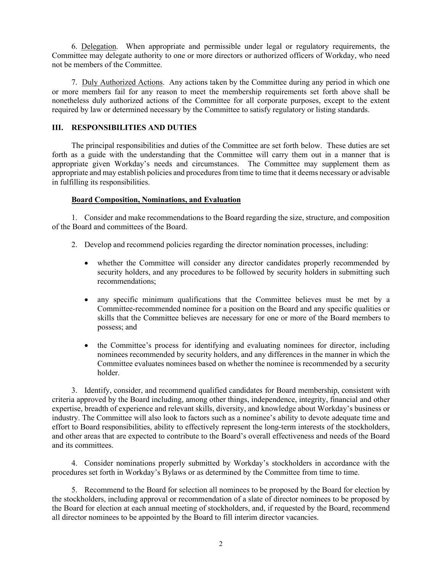6. Delegation. When appropriate and permissible under legal or regulatory requirements, the Committee may delegate authority to one or more directors or authorized officers of Workday, who need not be members of the Committee.

7. Duly Authorized Actions. Any actions taken by the Committee during any period in which one or more members fail for any reason to meet the membership requirements set forth above shall be nonetheless duly authorized actions of the Committee for all corporate purposes, except to the extent required by law or determined necessary by the Committee to satisfy regulatory or listing standards.

## **III. RESPONSIBILITIES AND DUTIES**

The principal responsibilities and duties of the Committee are set forth below. These duties are set forth as a guide with the understanding that the Committee will carry them out in a manner that is appropriate given Workday's needs and circumstances. The Committee may supplement them as appropriate and may establish policies and procedures from time to time that it deems necessary or advisable in fulfilling its responsibilities.

## **Board Composition, Nominations, and Evaluation**

1. Consider and make recommendations to the Board regarding the size, structure, and composition of the Board and committees of the Board.

- 2. Develop and recommend policies regarding the director nomination processes, including:
	- whether the Committee will consider any director candidates properly recommended by security holders, and any procedures to be followed by security holders in submitting such recommendations;
	- any specific minimum qualifications that the Committee believes must be met by a Committee-recommended nominee for a position on the Board and any specific qualities or skills that the Committee believes are necessary for one or more of the Board members to possess; and
	- the Committee's process for identifying and evaluating nominees for director, including nominees recommended by security holders, and any differences in the manner in which the Committee evaluates nominees based on whether the nominee is recommended by a security holder.

3. Identify, consider, and recommend qualified candidates for Board membership, consistent with criteria approved by the Board including, among other things, independence, integrity, financial and other expertise, breadth of experience and relevant skills, diversity, and knowledge about Workday's business or industry. The Committee will also look to factors such as a nominee's ability to devote adequate time and effort to Board responsibilities, ability to effectively represent the long-term interests of the stockholders, and other areas that are expected to contribute to the Board's overall effectiveness and needs of the Board and its committees.

4. Consider nominations properly submitted by Workday's stockholders in accordance with the procedures set forth in Workday's Bylaws or as determined by the Committee from time to time.

5. Recommend to the Board for selection all nominees to be proposed by the Board for election by the stockholders, including approval or recommendation of a slate of director nominees to be proposed by the Board for election at each annual meeting of stockholders, and, if requested by the Board, recommend all director nominees to be appointed by the Board to fill interim director vacancies.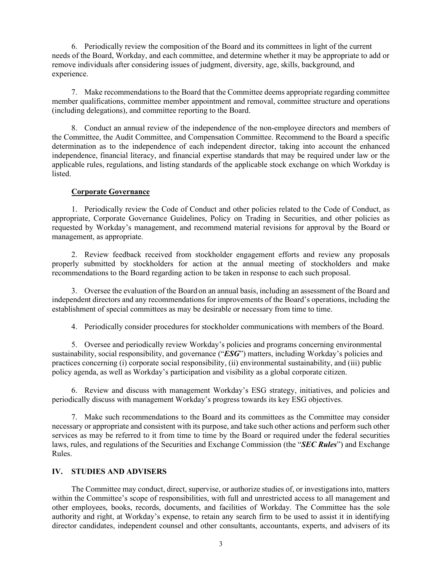6. Periodically review the composition of the Board and its committees in light of the current needs of the Board, Workday, and each committee, and determine whether it may be appropriate to add or remove individuals after considering issues of judgment, diversity, age, skills, background, and experience.

7. Make recommendations to the Board that the Committee deems appropriate regarding committee member qualifications, committee member appointment and removal, committee structure and operations (including delegations), and committee reporting to the Board.

8. Conduct an annual review of the independence of the non-employee directors and members of the Committee, the Audit Committee, and Compensation Committee. Recommend to the Board a specific determination as to the independence of each independent director, taking into account the enhanced independence, financial literacy, and financial expertise standards that may be required under law or the applicable rules, regulations, and listing standards of the applicable stock exchange on which Workday is listed.

#### **Corporate Governance**

1. Periodically review the Code of Conduct and other policies related to the Code of Conduct, as appropriate, Corporate Governance Guidelines, Policy on Trading in Securities, and other policies as requested by Workday's management, and recommend material revisions for approval by the Board or management, as appropriate.

2. Review feedback received from stockholder engagement efforts and review any proposals properly submitted by stockholders for action at the annual meeting of stockholders and make recommendations to the Board regarding action to be taken in response to each such proposal.

3. Oversee the evaluation of the Board on an annual basis, including an assessment of the Board and independent directors and any recommendations for improvements of the Board's operations, including the establishment of special committees as may be desirable or necessary from time to time.

4. Periodically consider procedures for stockholder communications with members of the Board.

5. Oversee and periodically review Workday's policies and programs concerning environmental sustainability, social responsibility, and governance ("*ESG*") matters, including Workday's policies and practices concerning (i) corporate social responsibility, (ii) environmental sustainability, and (iii) public policy agenda, as well as Workday's participation and visibility as a global corporate citizen.

6. Review and discuss with management Workday's ESG strategy, initiatives, and policies and periodically discuss with management Workday's progress towards its key ESG objectives.

7. Make such recommendations to the Board and its committees as the Committee may consider necessary or appropriate and consistent with its purpose, and take such other actions and perform such other services as may be referred to it from time to time by the Board or required under the federal securities laws, rules, and regulations of the Securities and Exchange Commission (the "*SEC Rules*") and Exchange Rules.

## **IV. STUDIES AND ADVISERS**

The Committee may conduct, direct, supervise, or authorize studies of, or investigations into, matters within the Committee's scope of responsibilities, with full and unrestricted access to all management and other employees, books, records, documents, and facilities of Workday. The Committee has the sole authority and right, at Workday's expense, to retain any search firm to be used to assist it in identifying director candidates, independent counsel and other consultants, accountants, experts, and advisers of its